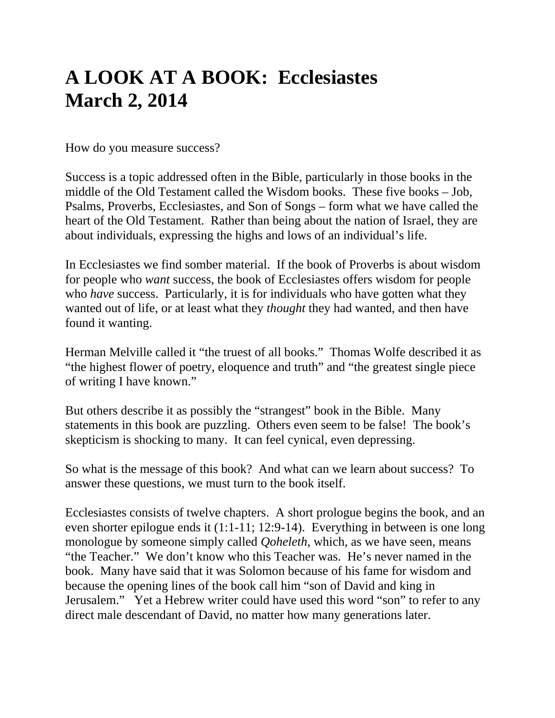# **A LOOK AT A BOOK: Ecclesiastes March 2, 2014**

How do you measure success?

Success is a topic addressed often in the Bible, particularly in those books in the middle of the Old Testament called the Wisdom books. These five books – Job, Psalms, Proverbs, Ecclesiastes, and Son of Songs – form what we have called the heart of the Old Testament. Rather than being about the nation of Israel, they are about individuals, expressing the highs and lows of an individual's life.

In Ecclesiastes we find somber material. If the book of Proverbs is about wisdom for people who *want* success, the book of Ecclesiastes offers wisdom for people who *have* success. Particularly, it is for individuals who have gotten what they wanted out of life, or at least what they *thought* they had wanted, and then have found it wanting.

Herman Melville called it "the truest of all books." Thomas Wolfe described it as "the highest flower of poetry, eloquence and truth" and "the greatest single piece of writing I have known."

But others describe it as possibly the "strangest" book in the Bible. Many statements in this book are puzzling. Others even seem to be false! The book's skepticism is shocking to many. It can feel cynical, even depressing.

So what is the message of this book? And what can we learn about success? To answer these questions, we must turn to the book itself.

Ecclesiastes consists of twelve chapters. A short prologue begins the book, and an even shorter epilogue ends it (1:1-11; 12:9-14). Everything in between is one long monologue by someone simply called *Qoheleth*, which, as we have seen, means "the Teacher." We don't know who this Teacher was. He's never named in the book. Many have said that it was Solomon because of his fame for wisdom and because the opening lines of the book call him "son of David and king in Jerusalem." Yet a Hebrew writer could have used this word "son" to refer to any direct male descendant of David, no matter how many generations later.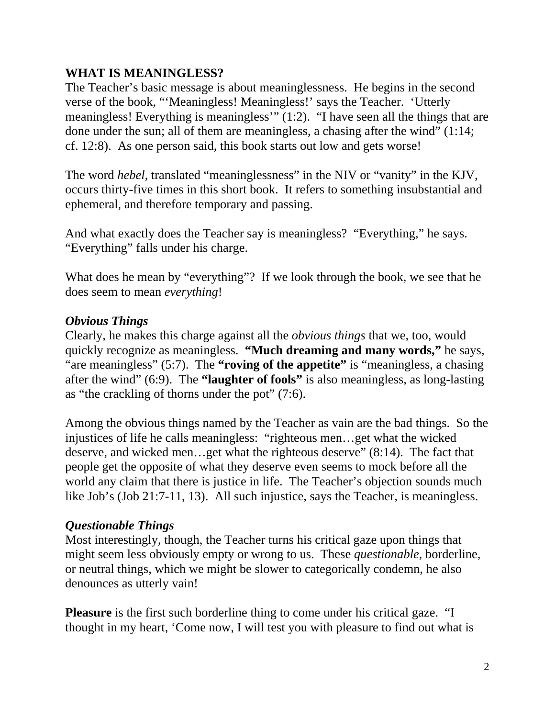### **WHAT IS MEANINGLESS?**

The Teacher's basic message is about meaninglessness. He begins in the second verse of the book, "'Meaningless! Meaningless!' says the Teacher. 'Utterly meaningless! Everything is meaningless'" (1:2). "I have seen all the things that are done under the sun; all of them are meaningless, a chasing after the wind" (1:14; cf. 12:8). As one person said, this book starts out low and gets worse!

The word *hebel,* translated "meaninglessness" in the NIV or "vanity" in the KJV, occurs thirty-five times in this short book. It refers to something insubstantial and ephemeral, and therefore temporary and passing.

And what exactly does the Teacher say is meaningless? "Everything," he says. "Everything" falls under his charge.

What does he mean by "everything"? If we look through the book, we see that he does seem to mean *everything*!

#### *Obvious Things*

Clearly, he makes this charge against all the *obvious things* that we, too, would quickly recognize as meaningless. **"Much dreaming and many words,"** he says, "are meaningless" (5:7). The **"roving of the appetite"** is "meaningless, a chasing after the wind" (6:9). The **"laughter of fools"** is also meaningless, as long-lasting as "the crackling of thorns under the pot" (7:6).

Among the obvious things named by the Teacher as vain are the bad things. So the injustices of life he calls meaningless: "righteous men…get what the wicked deserve, and wicked men…get what the righteous deserve" (8:14). The fact that people get the opposite of what they deserve even seems to mock before all the world any claim that there is justice in life. The Teacher's objection sounds much like Job's (Job 21:7-11, 13). All such injustice, says the Teacher, is meaningless.

#### *Questionable Things*

Most interestingly, though, the Teacher turns his critical gaze upon things that might seem less obviously empty or wrong to us. These *questionable*, borderline, or neutral things, which we might be slower to categorically condemn, he also denounces as utterly vain!

**Pleasure** is the first such borderline thing to come under his critical gaze. "I thought in my heart, 'Come now, I will test you with pleasure to find out what is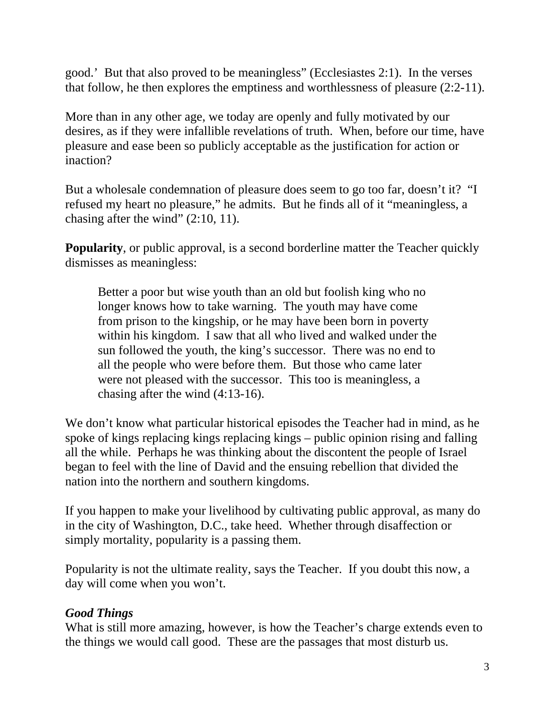good.' But that also proved to be meaningless" (Ecclesiastes 2:1). In the verses that follow, he then explores the emptiness and worthlessness of pleasure (2:2-11).

More than in any other age, we today are openly and fully motivated by our desires, as if they were infallible revelations of truth. When, before our time, have pleasure and ease been so publicly acceptable as the justification for action or inaction?

But a wholesale condemnation of pleasure does seem to go too far, doesn't it? "I refused my heart no pleasure," he admits. But he finds all of it "meaningless, a chasing after the wind" (2:10, 11).

**Popularity**, or public approval, is a second borderline matter the Teacher quickly dismisses as meaningless:

Better a poor but wise youth than an old but foolish king who no longer knows how to take warning. The youth may have come from prison to the kingship, or he may have been born in poverty within his kingdom. I saw that all who lived and walked under the sun followed the youth, the king's successor. There was no end to all the people who were before them. But those who came later were not pleased with the successor. This too is meaningless, a chasing after the wind (4:13-16).

We don't know what particular historical episodes the Teacher had in mind, as he spoke of kings replacing kings replacing kings – public opinion rising and falling all the while. Perhaps he was thinking about the discontent the people of Israel began to feel with the line of David and the ensuing rebellion that divided the nation into the northern and southern kingdoms.

If you happen to make your livelihood by cultivating public approval, as many do in the city of Washington, D.C., take heed. Whether through disaffection or simply mortality, popularity is a passing them.

Popularity is not the ultimate reality, says the Teacher. If you doubt this now, a day will come when you won't.

#### *Good Things*

What is still more amazing, however, is how the Teacher's charge extends even to the things we would call good. These are the passages that most disturb us.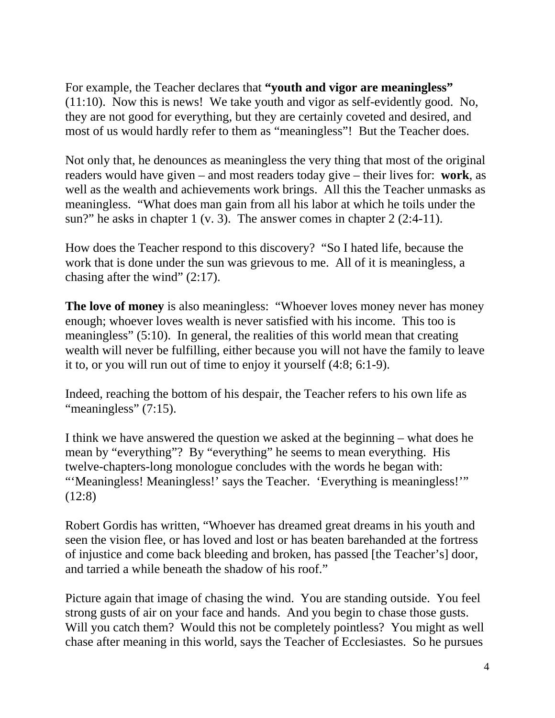For example, the Teacher declares that **"youth and vigor are meaningless"** (11:10). Now this is news! We take youth and vigor as self-evidently good. No, they are not good for everything, but they are certainly coveted and desired, and most of us would hardly refer to them as "meaningless"! But the Teacher does.

Not only that, he denounces as meaningless the very thing that most of the original readers would have given – and most readers today give – their lives for: **work**, as well as the wealth and achievements work brings. All this the Teacher unmasks as meaningless. "What does man gain from all his labor at which he toils under the sun?" he asks in chapter 1 (v. 3). The answer comes in chapter 2 (2:4-11).

How does the Teacher respond to this discovery? "So I hated life, because the work that is done under the sun was grievous to me. All of it is meaningless, a chasing after the wind" (2:17).

**The love of money** is also meaningless: "Whoever loves money never has money enough; whoever loves wealth is never satisfied with his income. This too is meaningless" (5:10). In general, the realities of this world mean that creating wealth will never be fulfilling, either because you will not have the family to leave it to, or you will run out of time to enjoy it yourself (4:8; 6:1-9).

Indeed, reaching the bottom of his despair, the Teacher refers to his own life as "meaningless" (7:15).

I think we have answered the question we asked at the beginning – what does he mean by "everything"? By "everything" he seems to mean everything. His twelve-chapters-long monologue concludes with the words he began with: "'Meaningless! Meaningless!' says the Teacher. 'Everything is meaningless!'" (12:8)

Robert Gordis has written, "Whoever has dreamed great dreams in his youth and seen the vision flee, or has loved and lost or has beaten barehanded at the fortress of injustice and come back bleeding and broken, has passed [the Teacher's] door, and tarried a while beneath the shadow of his roof."

Picture again that image of chasing the wind. You are standing outside. You feel strong gusts of air on your face and hands. And you begin to chase those gusts. Will you catch them? Would this not be completely pointless? You might as well chase after meaning in this world, says the Teacher of Ecclesiastes. So he pursues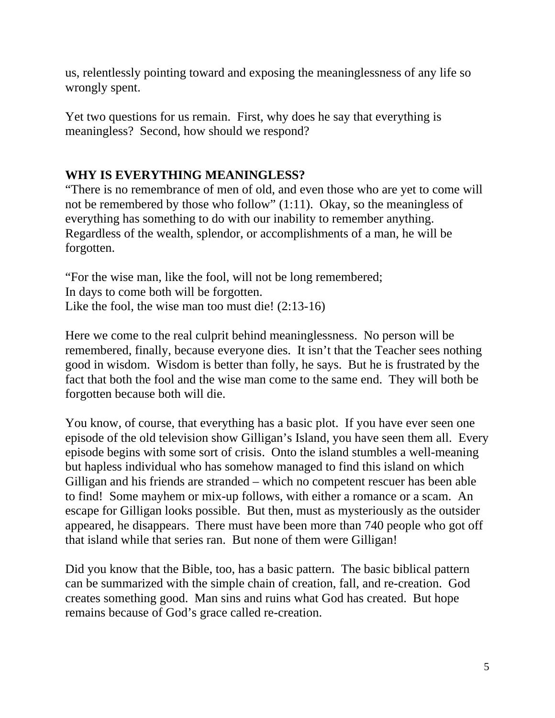us, relentlessly pointing toward and exposing the meaninglessness of any life so wrongly spent.

Yet two questions for us remain. First, why does he say that everything is meaningless? Second, how should we respond?

# **WHY IS EVERYTHING MEANINGLESS?**

"There is no remembrance of men of old, and even those who are yet to come will not be remembered by those who follow" (1:11). Okay, so the meaningless of everything has something to do with our inability to remember anything. Regardless of the wealth, splendor, or accomplishments of a man, he will be forgotten.

"For the wise man, like the fool, will not be long remembered; In days to come both will be forgotten. Like the fool, the wise man too must die!  $(2:13-16)$ 

Here we come to the real culprit behind meaninglessness. No person will be remembered, finally, because everyone dies. It isn't that the Teacher sees nothing good in wisdom. Wisdom is better than folly, he says. But he is frustrated by the fact that both the fool and the wise man come to the same end. They will both be forgotten because both will die.

You know, of course, that everything has a basic plot. If you have ever seen one episode of the old television show Gilligan's Island, you have seen them all. Every episode begins with some sort of crisis. Onto the island stumbles a well-meaning but hapless individual who has somehow managed to find this island on which Gilligan and his friends are stranded – which no competent rescuer has been able to find! Some mayhem or mix-up follows, with either a romance or a scam. An escape for Gilligan looks possible. But then, must as mysteriously as the outsider appeared, he disappears. There must have been more than 740 people who got off that island while that series ran. But none of them were Gilligan!

Did you know that the Bible, too, has a basic pattern. The basic biblical pattern can be summarized with the simple chain of creation, fall, and re-creation. God creates something good. Man sins and ruins what God has created. But hope remains because of God's grace called re-creation.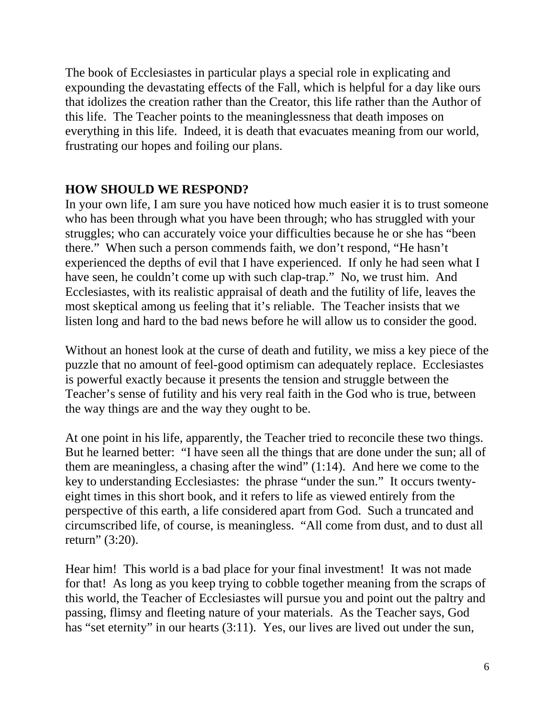The book of Ecclesiastes in particular plays a special role in explicating and expounding the devastating effects of the Fall, which is helpful for a day like ours that idolizes the creation rather than the Creator, this life rather than the Author of this life. The Teacher points to the meaninglessness that death imposes on everything in this life. Indeed, it is death that evacuates meaning from our world, frustrating our hopes and foiling our plans.

#### **HOW SHOULD WE RESPOND?**

In your own life, I am sure you have noticed how much easier it is to trust someone who has been through what you have been through; who has struggled with your struggles; who can accurately voice your difficulties because he or she has "been there." When such a person commends faith, we don't respond, "He hasn't experienced the depths of evil that I have experienced. If only he had seen what I have seen, he couldn't come up with such clap-trap." No, we trust him. And Ecclesiastes, with its realistic appraisal of death and the futility of life, leaves the most skeptical among us feeling that it's reliable. The Teacher insists that we listen long and hard to the bad news before he will allow us to consider the good.

Without an honest look at the curse of death and futility, we miss a key piece of the puzzle that no amount of feel-good optimism can adequately replace. Ecclesiastes is powerful exactly because it presents the tension and struggle between the Teacher's sense of futility and his very real faith in the God who is true, between the way things are and the way they ought to be.

At one point in his life, apparently, the Teacher tried to reconcile these two things. But he learned better: "I have seen all the things that are done under the sun; all of them are meaningless, a chasing after the wind" (1:14). And here we come to the key to understanding Ecclesiastes: the phrase "under the sun." It occurs twentyeight times in this short book, and it refers to life as viewed entirely from the perspective of this earth, a life considered apart from God. Such a truncated and circumscribed life, of course, is meaningless. "All come from dust, and to dust all return" (3:20).

Hear him! This world is a bad place for your final investment! It was not made for that! As long as you keep trying to cobble together meaning from the scraps of this world, the Teacher of Ecclesiastes will pursue you and point out the paltry and passing, flimsy and fleeting nature of your materials. As the Teacher says, God has "set eternity" in our hearts (3:11). Yes, our lives are lived out under the sun,